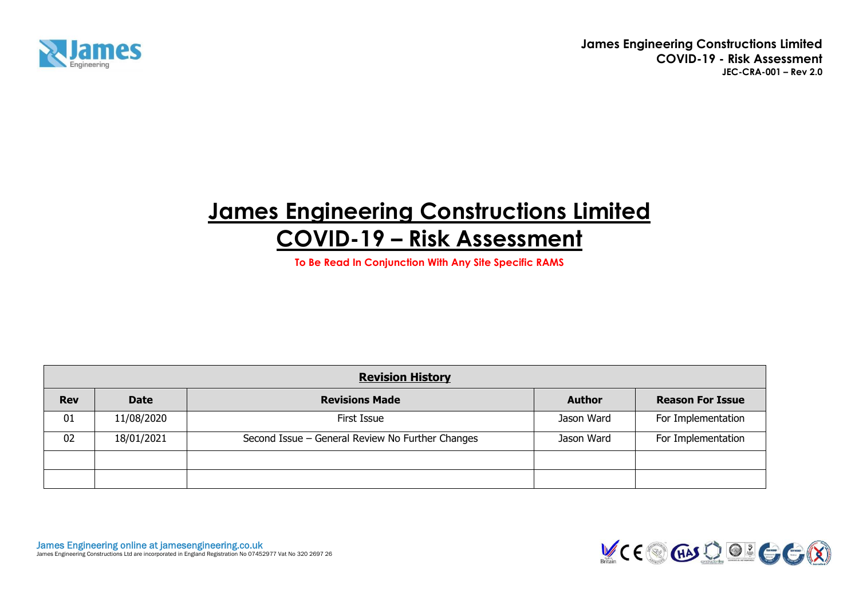

# **James Engineering Constructions Limited COVID-19 – Risk Assessment**

**To Be Read In Conjunction With Any Site Specific RAMS**

|            |             | <b>Revision History</b>                          |               |                         |
|------------|-------------|--------------------------------------------------|---------------|-------------------------|
| <b>Rev</b> | <b>Date</b> | <b>Revisions Made</b>                            | <b>Author</b> | <b>Reason For Issue</b> |
| 01         | 11/08/2020  | First Issue                                      | Jason Ward    | For Implementation      |
| 02         | 18/01/2021  | Second Issue - General Review No Further Changes | Jason Ward    | For Implementation      |
|            |             |                                                  |               |                         |
|            |             |                                                  |               |                         |

**James Engineering online at jamesengineering.co.uk**<br>James Engineering Constructions Ltd are incorporated in England Registration No 07452977 Vat No 320 2697 26

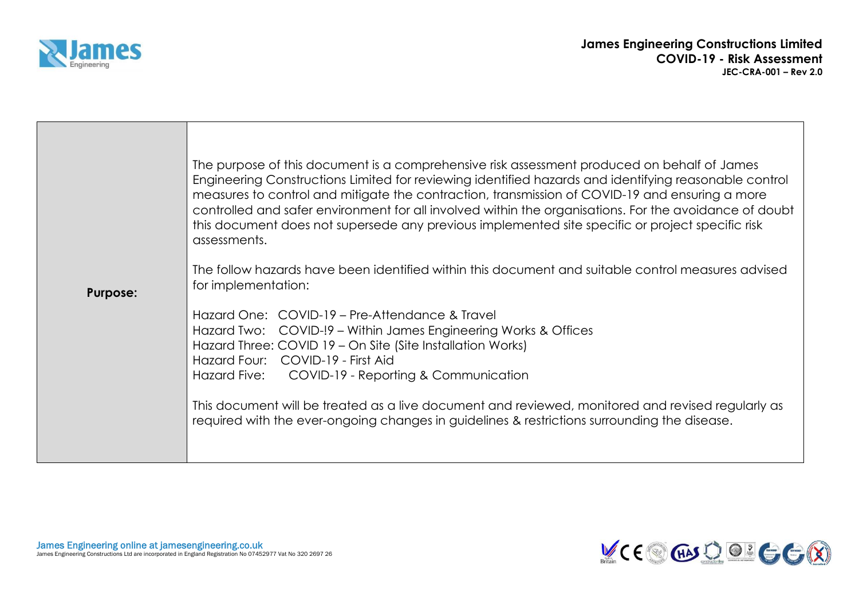

|                 | The purpose of this document is a comprehensive risk assessment produced on behalf of James<br>Engineering Constructions Limited for reviewing identified hazards and identifying reasonable control<br>measures to control and mitigate the contraction, transmission of COVID-19 and ensuring a more<br>controlled and safer environment for all involved within the organisations. For the avoidance of doubt<br>this document does not supersede any previous implemented site specific or project specific risk<br>assessments.<br>The follow hazards have been identified within this document and suitable control measures advised |
|-----------------|--------------------------------------------------------------------------------------------------------------------------------------------------------------------------------------------------------------------------------------------------------------------------------------------------------------------------------------------------------------------------------------------------------------------------------------------------------------------------------------------------------------------------------------------------------------------------------------------------------------------------------------------|
| <b>Purpose:</b> | for implementation:                                                                                                                                                                                                                                                                                                                                                                                                                                                                                                                                                                                                                        |
|                 | Hazard One: COVID-19 – Pre-Attendance & Travel<br>Hazard Two: COVID-!9 - Within James Engineering Works & Offices<br>Hazard Three: COVID 19 - On Site (Site Installation Works)<br>Hazard Four: COVID-19 - First Aid<br>Hazard Five: COVID-19 - Reporting & Communication<br>This document will be treated as a live document and reviewed, monitored and revised regularly as<br>required with the ever-ongoing changes in guidelines & restrictions surrounding the disease.                                                                                                                                                             |

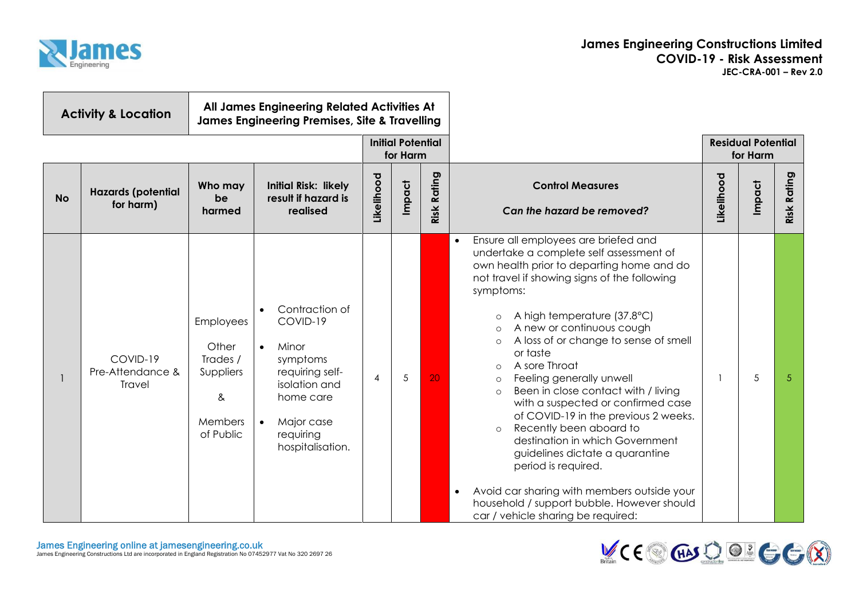

| All James Engineering Related Activities At<br><b>Activity &amp; Location</b><br><b>James Engineering Premises, Site &amp; Travelling</b> |                                        |                                                                                 |                                                                                                                                                                           |                                      |                       |    |                                                                                                                                                                                                                                                                                                                                                                                                                                                                                                                                                                                                                                                                                                                                                                                                                                                  |                                       |        |                |
|-------------------------------------------------------------------------------------------------------------------------------------------|----------------------------------------|---------------------------------------------------------------------------------|---------------------------------------------------------------------------------------------------------------------------------------------------------------------------|--------------------------------------|-----------------------|----|--------------------------------------------------------------------------------------------------------------------------------------------------------------------------------------------------------------------------------------------------------------------------------------------------------------------------------------------------------------------------------------------------------------------------------------------------------------------------------------------------------------------------------------------------------------------------------------------------------------------------------------------------------------------------------------------------------------------------------------------------------------------------------------------------------------------------------------------------|---------------------------------------|--------|----------------|
|                                                                                                                                           |                                        |                                                                                 |                                                                                                                                                                           | <b>Initial Potential</b><br>for Harm |                       |    |                                                                                                                                                                                                                                                                                                                                                                                                                                                                                                                                                                                                                                                                                                                                                                                                                                                  | <b>Residual Potential</b><br>for Harm |        |                |
| <b>No</b>                                                                                                                                 | <b>Hazards (potential</b><br>for harm) | Who may<br>be<br>harmed                                                         | <b>Initial Risk: likely</b><br>result if hazard is<br>realised                                                                                                            | Likelihood                           | Risk Rating<br>Impact |    | <b>Control Measures</b><br>Can the hazard be removed?                                                                                                                                                                                                                                                                                                                                                                                                                                                                                                                                                                                                                                                                                                                                                                                            | Likelihood                            | Impact | Rating<br>Risk |
|                                                                                                                                           | COVID-19<br>Pre-Attendance &<br>Travel | <b>Employees</b><br>Other<br>Trades /<br>Suppliers<br>&<br>Members<br>of Public | Contraction of<br>COVID-19<br>Minor<br>$\bullet$<br>symptoms<br>requiring self-<br>isolation and<br>home care<br>Major case<br>$\bullet$<br>requiring<br>hospitalisation. | $\overline{4}$                       | 5                     | 20 | Ensure all employees are briefed and<br>$\bullet$<br>undertake a complete self assessment of<br>own health prior to departing home and do<br>not travel if showing signs of the following<br>symptoms:<br>A high temperature (37.8°C)<br>$\circ$<br>A new or continuous cough<br>$\Omega$<br>A loss of or change to sense of smell<br>$\circ$<br>or taste<br>A sore Throat<br>$\Omega$<br>Feeling generally unwell<br>$\circ$<br>Been in close contact with / living<br>$\circ$<br>with a suspected or confirmed case<br>of COVID-19 in the previous 2 weeks.<br>Recently been aboard to<br>$\circ$<br>destination in which Government<br>guidelines dictate a quarantine<br>period is required.<br>Avoid car sharing with members outside your<br>$\bullet$<br>household / support bubble. However should<br>car / vehicle sharing be required: |                                       | 5      | 5              |

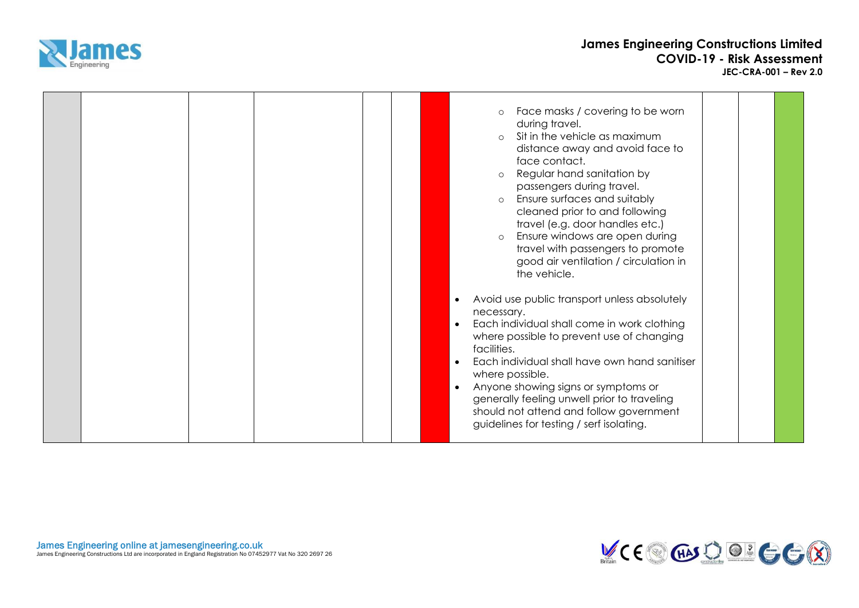

|  |  | Face masks / covering to be worn<br>$\circ$<br>during travel.<br>Sit in the vehicle as maximum<br>$\circ$<br>distance away and avoid face to<br>face contact.<br>Regular hand sanitation by<br>$\circ$<br>passengers during travel.<br>Ensure surfaces and suitably<br>$\circ$<br>cleaned prior to and following<br>travel (e.g. door handles etc.)<br>Ensure windows are open during<br>$\Omega$<br>travel with passengers to promote<br>good air ventilation / circulation in<br>the vehicle. |  |
|--|--|-------------------------------------------------------------------------------------------------------------------------------------------------------------------------------------------------------------------------------------------------------------------------------------------------------------------------------------------------------------------------------------------------------------------------------------------------------------------------------------------------|--|
|  |  | Avoid use public transport unless absolutely<br>necessary.<br>Each individual shall come in work clothing<br>$\bullet$<br>where possible to prevent use of changing<br>facilities.<br>Each individual shall have own hand sanitiser<br>where possible.<br>Anyone showing signs or symptoms or<br>$\bullet$<br>generally feeling unwell prior to traveling<br>should not attend and follow government<br>guidelines for testing / serf isolating.                                                |  |

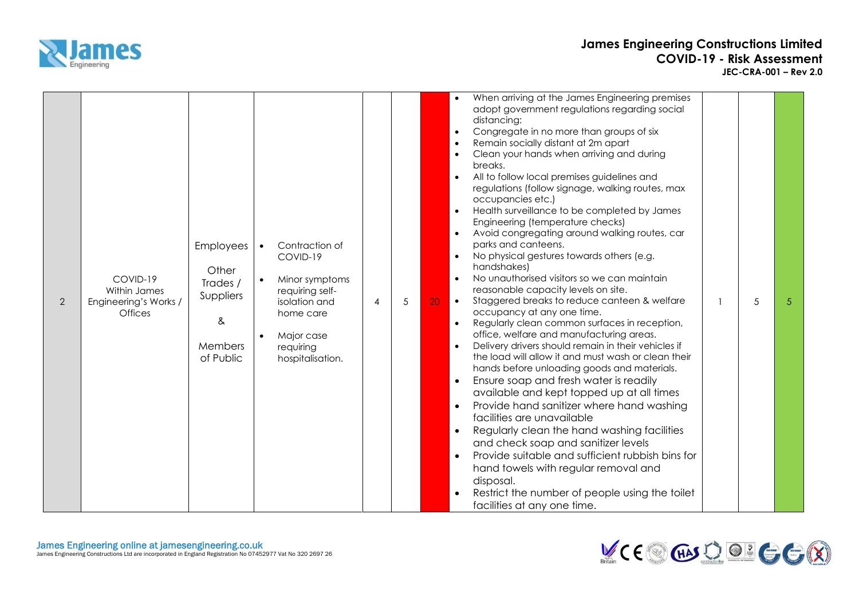

| $\overline{2}$ | COVID-19<br>Within James<br>Engineering's Works /<br><b>Offices</b> | Employees<br>Other<br>Trades /<br>Suppliers<br>&<br>Members<br>of Public | Contraction of<br>$\bullet$<br>COVID-19<br>Minor symptoms<br>requiring self-<br>isolation and<br>home care<br>Major case<br>requiring<br>hospitalisation. | 4 | 5 | When arriving at the James Engineering premises<br>$\bullet$<br>adopt government regulations regarding social<br>distancing:<br>Congregate in no more than groups of six<br>$\bullet$<br>Remain socially distant at 2m apart<br>Clean your hands when arriving and during<br>breaks.<br>All to follow local premises guidelines and<br>$\bullet$<br>regulations (follow signage, walking routes, max<br>occupancies etc.)<br>Health surveillance to be completed by James<br>Engineering (temperature checks)<br>Avoid congregating around walking routes, car<br>parks and canteens.<br>No physical gestures towards others (e.g.<br>handshakes)<br>No unauthorised visitors so we can maintain<br>$\bullet$<br>reasonable capacity levels on site.<br>Staggered breaks to reduce canteen & welfare<br>5<br>20<br>$\bullet$<br>5<br>occupancy at any one time.<br>Regularly clean common surfaces in reception,<br>$\bullet$<br>office, welfare and manufacturing areas.<br>Delivery drivers should remain in their vehicles if<br>$\bullet$<br>the load will allow it and must wash or clean their<br>hands before unloading goods and materials.<br>Ensure soap and fresh water is readily<br>$\bullet$<br>available and kept topped up at all times<br>Provide hand sanitizer where hand washing<br>facilities are unavailable<br>Regularly clean the hand washing facilities<br>$\bullet$<br>and check soap and sanitizer levels<br>Provide suitable and sufficient rubbish bins for<br>$\bullet$<br>hand towels with regular removal and<br>disposal.<br>Restrict the number of people using the toilet<br>facilities at any one time. |
|----------------|---------------------------------------------------------------------|--------------------------------------------------------------------------|-----------------------------------------------------------------------------------------------------------------------------------------------------------|---|---|----------------------------------------------------------------------------------------------------------------------------------------------------------------------------------------------------------------------------------------------------------------------------------------------------------------------------------------------------------------------------------------------------------------------------------------------------------------------------------------------------------------------------------------------------------------------------------------------------------------------------------------------------------------------------------------------------------------------------------------------------------------------------------------------------------------------------------------------------------------------------------------------------------------------------------------------------------------------------------------------------------------------------------------------------------------------------------------------------------------------------------------------------------------------------------------------------------------------------------------------------------------------------------------------------------------------------------------------------------------------------------------------------------------------------------------------------------------------------------------------------------------------------------------------------------------------------------------------------------------------------------------------|
|----------------|---------------------------------------------------------------------|--------------------------------------------------------------------------|-----------------------------------------------------------------------------------------------------------------------------------------------------------|---|---|----------------------------------------------------------------------------------------------------------------------------------------------------------------------------------------------------------------------------------------------------------------------------------------------------------------------------------------------------------------------------------------------------------------------------------------------------------------------------------------------------------------------------------------------------------------------------------------------------------------------------------------------------------------------------------------------------------------------------------------------------------------------------------------------------------------------------------------------------------------------------------------------------------------------------------------------------------------------------------------------------------------------------------------------------------------------------------------------------------------------------------------------------------------------------------------------------------------------------------------------------------------------------------------------------------------------------------------------------------------------------------------------------------------------------------------------------------------------------------------------------------------------------------------------------------------------------------------------------------------------------------------------|

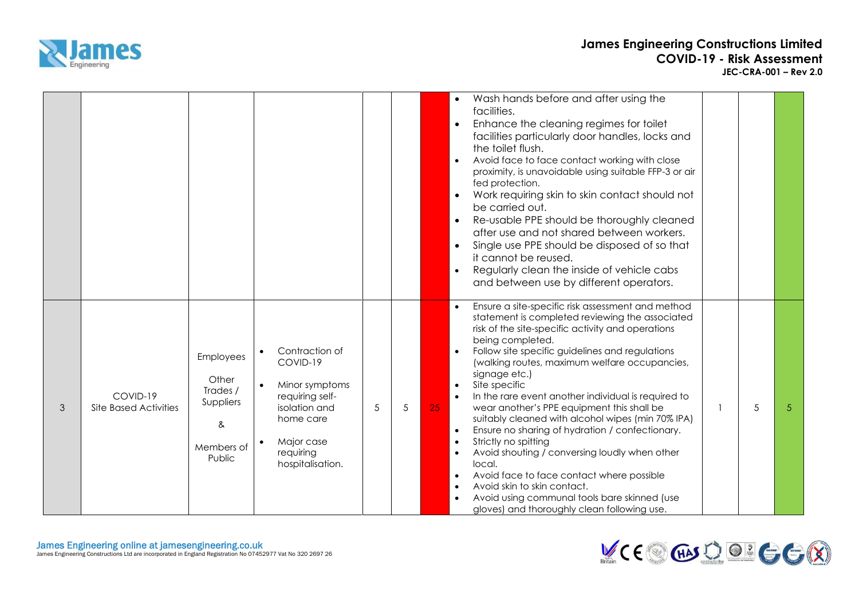

|   |                                          |                                                                          |                                                                                                                                                           |   |   |    | Wash hands before and after using the<br>$\bullet$<br>facilities.<br>Enhance the cleaning regimes for toilet<br>$\bullet$<br>facilities particularly door handles, locks and<br>the toilet flush.<br>Avoid face to face contact working with close<br>$\bullet$<br>proximity, is unavoidable using suitable FFP-3 or air<br>fed protection.<br>Work requiring skin to skin contact should not<br>$\bullet$<br>be carried out.<br>Re-usable PPE should be thoroughly cleaned<br>after use and not shared between workers.<br>Single use PPE should be disposed of so that<br>$\bullet$<br>it cannot be reused.<br>Regularly clean the inside of vehicle cabs<br>$\bullet$<br>and between use by different operators.                                                                                                                                             |   |   |
|---|------------------------------------------|--------------------------------------------------------------------------|-----------------------------------------------------------------------------------------------------------------------------------------------------------|---|---|----|-----------------------------------------------------------------------------------------------------------------------------------------------------------------------------------------------------------------------------------------------------------------------------------------------------------------------------------------------------------------------------------------------------------------------------------------------------------------------------------------------------------------------------------------------------------------------------------------------------------------------------------------------------------------------------------------------------------------------------------------------------------------------------------------------------------------------------------------------------------------|---|---|
| 3 | COVID-19<br><b>Site Based Activities</b> | Employees<br>Other<br>Trades /<br>Suppliers<br>&<br>Members of<br>Public | Contraction of<br>$\bullet$<br>COVID-19<br>Minor symptoms<br>requiring self-<br>isolation and<br>home care<br>Major case<br>requiring<br>hospitalisation. | 5 | 5 | 25 | Ensure a site-specific risk assessment and method<br>statement is completed reviewing the associated<br>risk of the site-specific activity and operations<br>being completed.<br>Follow site specific guidelines and regulations<br>(walking routes, maximum welfare occupancies,<br>signage etc.)<br>Site specific<br>$\bullet$<br>In the rare event another individual is required to<br>wear another's PPE equipment this shall be<br>suitably cleaned with alcohol wipes (min 70% IPA)<br>Ensure no sharing of hydration / confectionary.<br>$\bullet$<br>Strictly no spitting<br>$\bullet$<br>Avoid shouting / conversing loudly when other<br>local.<br>Avoid face to face contact where possible<br>$\bullet$<br>Avoid skin to skin contact.<br>$\bullet$<br>Avoid using communal tools bare skinned (use<br>gloves) and thoroughly clean following use. | 5 | 5 |

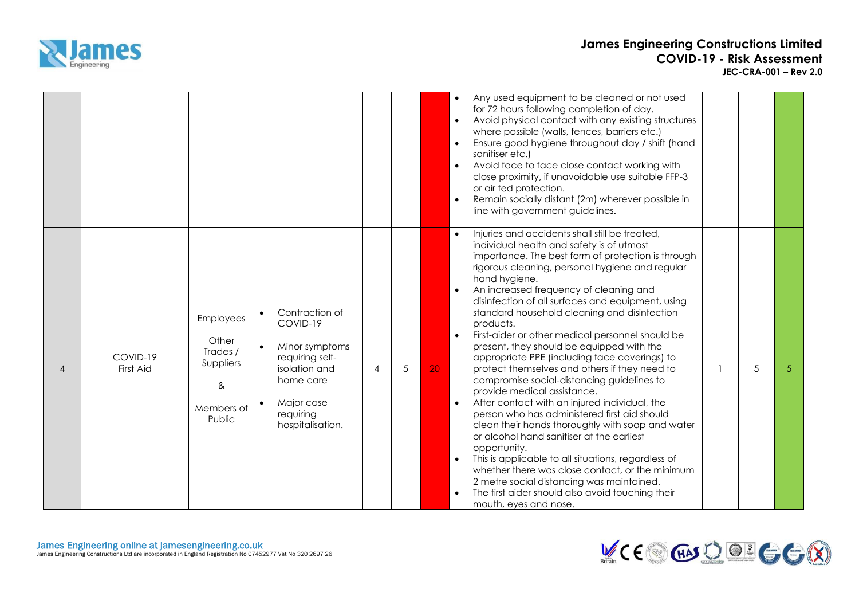

|                |                       |                                                                                 |                                                                                                                                                           |   |            | Any used equipment to be cleaned or not used<br>$\bullet$<br>for 72 hours following completion of day.<br>Avoid physical contact with any existing structures<br>$\bullet$<br>where possible (walls, fences, barriers etc.)<br>Ensure good hygiene throughout day / shift (hand<br>$\bullet$<br>sanitiser etc.)<br>Avoid face to face close contact working with<br>$\bullet$<br>close proximity, if unavoidable use suitable FFP-3<br>or air fed protection.<br>Remain socially distant (2m) wherever possible in<br>$\bullet$<br>line with government guidelines.                                                                                                                                                                                                                                                                                                                                                                                                                                                                                                                                                                                                   |   |
|----------------|-----------------------|---------------------------------------------------------------------------------|-----------------------------------------------------------------------------------------------------------------------------------------------------------|---|------------|-----------------------------------------------------------------------------------------------------------------------------------------------------------------------------------------------------------------------------------------------------------------------------------------------------------------------------------------------------------------------------------------------------------------------------------------------------------------------------------------------------------------------------------------------------------------------------------------------------------------------------------------------------------------------------------------------------------------------------------------------------------------------------------------------------------------------------------------------------------------------------------------------------------------------------------------------------------------------------------------------------------------------------------------------------------------------------------------------------------------------------------------------------------------------|---|
| $\overline{4}$ | COVID-19<br>First Aid | <b>Employees</b><br>Other<br>Trades /<br>Suppliers<br>&<br>Members of<br>Public | Contraction of<br>$\bullet$<br>COVID-19<br>Minor symptoms<br>requiring self-<br>isolation and<br>home care<br>Major case<br>requiring<br>hospitalisation. | 4 | $\sqrt{5}$ | Injuries and accidents shall still be treated,<br>$\bullet$<br>individual health and safety is of utmost<br>importance. The best form of protection is through<br>rigorous cleaning, personal hygiene and regular<br>hand hygiene.<br>An increased frequency of cleaning and<br>disinfection of all surfaces and equipment, using<br>standard household cleaning and disinfection<br>products.<br>First-aider or other medical personnel should be<br>present, they should be equipped with the<br>appropriate PPE (including face coverings) to<br>$\sqrt{5}$<br>20 <sup>°</sup><br>protect themselves and others if they need to<br>compromise social-distancing guidelines to<br>provide medical assistance.<br>After contact with an injured individual, the<br>person who has administered first aid should<br>clean their hands thoroughly with soap and water<br>or alcohol hand sanitiser at the earliest<br>opportunity.<br>This is applicable to all situations, regardless of<br>whether there was close contact, or the minimum<br>2 metre social distancing was maintained.<br>The first aider should also avoid touching their<br>mouth, eyes and nose. | 5 |

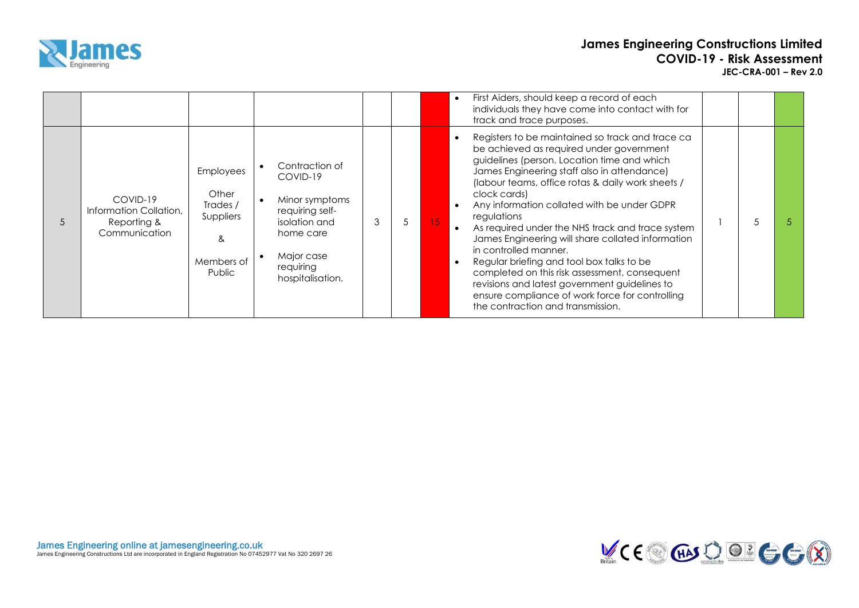

|                |                                                                    |                                                                          |                                                                                                                                              |   |   |    | First Aiders, should keep a record of each<br>$\bullet$<br>individuals they have come into contact with for<br>track and trace purposes.                                                                                                                                                                                                                                                                                                                                                                                                                                                                                                                                                               |  |  |
|----------------|--------------------------------------------------------------------|--------------------------------------------------------------------------|----------------------------------------------------------------------------------------------------------------------------------------------|---|---|----|--------------------------------------------------------------------------------------------------------------------------------------------------------------------------------------------------------------------------------------------------------------------------------------------------------------------------------------------------------------------------------------------------------------------------------------------------------------------------------------------------------------------------------------------------------------------------------------------------------------------------------------------------------------------------------------------------------|--|--|
| $\overline{5}$ | COVID-19<br>Information Collation,<br>Reporting &<br>Communication | Employees<br>Other<br>Trades /<br>Suppliers<br>ጼ<br>Members of<br>Public | Contraction of<br>COVID-19<br>Minor symptoms<br>requiring self-<br>isolation and<br>home care<br>Major case<br>requiring<br>hospitalisation. | 3 | 5 | 15 | Registers to be maintained so track and trace ca<br>be achieved as required under government<br>guidelines (person. Location time and which<br>James Engineering staff also in attendance)<br>(labour teams, office rotas & daily work sheets /<br>clock cards)<br>Any information collated with be under GDPR<br>regulations<br>As required under the NHS track and trace system<br>James Engineering will share collated information<br>in controlled manner.<br>Regular briefing and tool box talks to be<br>completed on this risk assessment, consequent<br>revisions and latest government guidelines to<br>ensure compliance of work force for controlling<br>the contraction and transmission. |  |  |